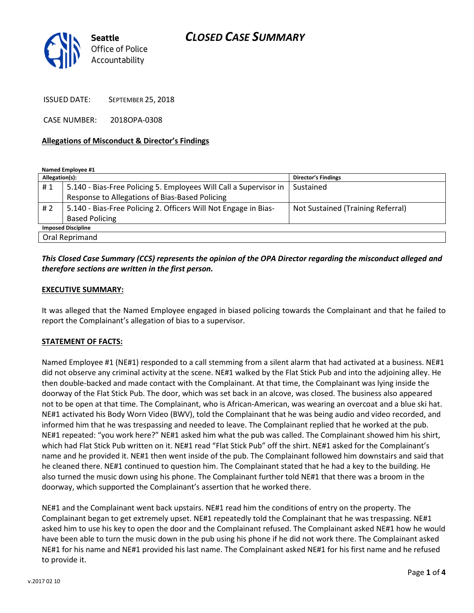# CLOSED CASE SUMMARY



ISSUED DATE: SEPTEMBER 25, 2018

CASE NUMBER: 2018OPA-0308

#### Allegations of Misconduct & Director's Findings

Named Employee #1

| Allegation(s):            |                                                                   | <b>Director's Findings</b>        |
|---------------------------|-------------------------------------------------------------------|-----------------------------------|
| #1                        | 5.140 - Bias-Free Policing 5. Employees Will Call a Supervisor in | Sustained                         |
|                           | Response to Allegations of Bias-Based Policing                    |                                   |
| #2                        | 5.140 - Bias-Free Policing 2. Officers Will Not Engage in Bias-   | Not Sustained (Training Referral) |
|                           | <b>Based Policing</b>                                             |                                   |
| <b>Imposed Discipline</b> |                                                                   |                                   |
| Oral Reprimand            |                                                                   |                                   |

### This Closed Case Summary (CCS) represents the opinion of the OPA Director regarding the misconduct alleged and therefore sections are written in the first person.

#### EXECUTIVE SUMMARY:

It was alleged that the Named Employee engaged in biased policing towards the Complainant and that he failed to report the Complainant's allegation of bias to a supervisor.

#### STATEMENT OF FACTS:

Named Employee #1 (NE#1) responded to a call stemming from a silent alarm that had activated at a business. NE#1 did not observe any criminal activity at the scene. NE#1 walked by the Flat Stick Pub and into the adjoining alley. He then double-backed and made contact with the Complainant. At that time, the Complainant was lying inside the doorway of the Flat Stick Pub. The door, which was set back in an alcove, was closed. The business also appeared not to be open at that time. The Complainant, who is African-American, was wearing an overcoat and a blue ski hat. NE#1 activated his Body Worn Video (BWV), told the Complainant that he was being audio and video recorded, and informed him that he was trespassing and needed to leave. The Complainant replied that he worked at the pub. NE#1 repeated: "you work here?" NE#1 asked him what the pub was called. The Complainant showed him his shirt, which had Flat Stick Pub written on it. NE#1 read "Flat Stick Pub" off the shirt. NE#1 asked for the Complainant's name and he provided it. NE#1 then went inside of the pub. The Complainant followed him downstairs and said that he cleaned there. NE#1 continued to question him. The Complainant stated that he had a key to the building. He also turned the music down using his phone. The Complainant further told NE#1 that there was a broom in the doorway, which supported the Complainant's assertion that he worked there.

NE#1 and the Complainant went back upstairs. NE#1 read him the conditions of entry on the property. The Complainant began to get extremely upset. NE#1 repeatedly told the Complainant that he was trespassing. NE#1 asked him to use his key to open the door and the Complainant refused. The Complainant asked NE#1 how he would have been able to turn the music down in the pub using his phone if he did not work there. The Complainant asked NE#1 for his name and NE#1 provided his last name. The Complainant asked NE#1 for his first name and he refused to provide it.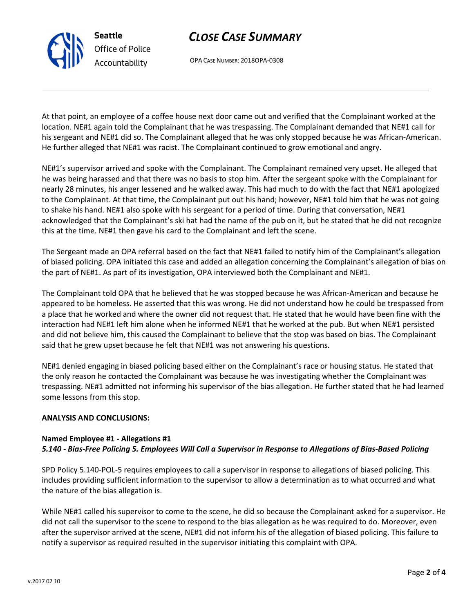# CLOSE CASE SUMMARY

OPA CASE NUMBER: 2018OPA-0308

At that point, an employee of a coffee house next door came out and verified that the Complainant worked at the location. NE#1 again told the Complainant that he was trespassing. The Complainant demanded that NE#1 call for his sergeant and NE#1 did so. The Complainant alleged that he was only stopped because he was African-American. He further alleged that NE#1 was racist. The Complainant continued to grow emotional and angry.

NE#1's supervisor arrived and spoke with the Complainant. The Complainant remained very upset. He alleged that he was being harassed and that there was no basis to stop him. After the sergeant spoke with the Complainant for nearly 28 minutes, his anger lessened and he walked away. This had much to do with the fact that NE#1 apologized to the Complainant. At that time, the Complainant put out his hand; however, NE#1 told him that he was not going to shake his hand. NE#1 also spoke with his sergeant for a period of time. During that conversation, NE#1 acknowledged that the Complainant's ski hat had the name of the pub on it, but he stated that he did not recognize this at the time. NE#1 then gave his card to the Complainant and left the scene.

The Sergeant made an OPA referral based on the fact that NE#1 failed to notify him of the Complainant's allegation of biased policing. OPA initiated this case and added an allegation concerning the Complainant's allegation of bias on the part of NE#1. As part of its investigation, OPA interviewed both the Complainant and NE#1.

The Complainant told OPA that he believed that he was stopped because he was African-American and because he appeared to be homeless. He asserted that this was wrong. He did not understand how he could be trespassed from a place that he worked and where the owner did not request that. He stated that he would have been fine with the interaction had NE#1 left him alone when he informed NE#1 that he worked at the pub. But when NE#1 persisted and did not believe him, this caused the Complainant to believe that the stop was based on bias. The Complainant said that he grew upset because he felt that NE#1 was not answering his questions.

NE#1 denied engaging in biased policing based either on the Complainant's race or housing status. He stated that the only reason he contacted the Complainant was because he was investigating whether the Complainant was trespassing. NE#1 admitted not informing his supervisor of the bias allegation. He further stated that he had learned some lessons from this stop.

#### ANALYSIS AND CONCLUSIONS:

### Named Employee #1 - Allegations #1 5.140 - Bias-Free Policing 5. Employees Will Call a Supervisor in Response to Allegations of Bias-Based Policing

SPD Policy 5.140-POL-5 requires employees to call a supervisor in response to allegations of biased policing. This includes providing sufficient information to the supervisor to allow a determination as to what occurred and what the nature of the bias allegation is.

While NE#1 called his supervisor to come to the scene, he did so because the Complainant asked for a supervisor. He did not call the supervisor to the scene to respond to the bias allegation as he was required to do. Moreover, even after the supervisor arrived at the scene, NE#1 did not inform his of the allegation of biased policing. This failure to notify a supervisor as required resulted in the supervisor initiating this complaint with OPA.



Seattle Office of Police Accountability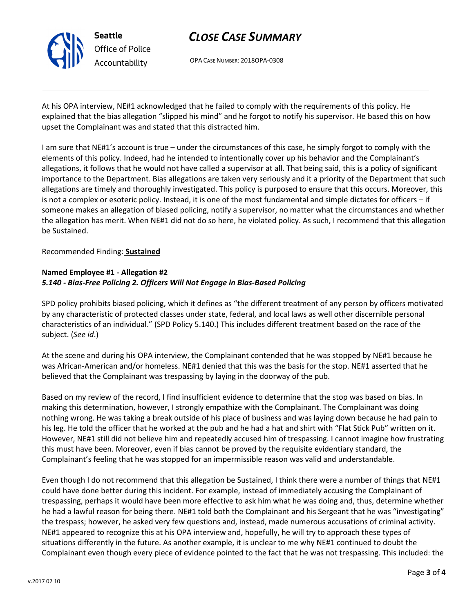

# CLOSE CASE SUMMARY

OPA CASE NUMBER: 2018OPA-0308

At his OPA interview, NE#1 acknowledged that he failed to comply with the requirements of this policy. He explained that the bias allegation "slipped his mind" and he forgot to notify his supervisor. He based this on how upset the Complainant was and stated that this distracted him.

I am sure that NE#1's account is true – under the circumstances of this case, he simply forgot to comply with the elements of this policy. Indeed, had he intended to intentionally cover up his behavior and the Complainant's allegations, it follows that he would not have called a supervisor at all. That being said, this is a policy of significant importance to the Department. Bias allegations are taken very seriously and it a priority of the Department that such allegations are timely and thoroughly investigated. This policy is purposed to ensure that this occurs. Moreover, this is not a complex or esoteric policy. Instead, it is one of the most fundamental and simple dictates for officers – if someone makes an allegation of biased policing, notify a supervisor, no matter what the circumstances and whether the allegation has merit. When NE#1 did not do so here, he violated policy. As such, I recommend that this allegation be Sustained.

### Recommended Finding: Sustained

### Named Employee #1 - Allegation #2 5.140 - Bias-Free Policing 2. Officers Will Not Engage in Bias-Based Policing

SPD policy prohibits biased policing, which it defines as "the different treatment of any person by officers motivated by any characteristic of protected classes under state, federal, and local laws as well other discernible personal characteristics of an individual." (SPD Policy 5.140.) This includes different treatment based on the race of the subject. (See id.)

At the scene and during his OPA interview, the Complainant contended that he was stopped by NE#1 because he was African-American and/or homeless. NE#1 denied that this was the basis for the stop. NE#1 asserted that he believed that the Complainant was trespassing by laying in the doorway of the pub.

Based on my review of the record, I find insufficient evidence to determine that the stop was based on bias. In making this determination, however, I strongly empathize with the Complainant. The Complainant was doing nothing wrong. He was taking a break outside of his place of business and was laying down because he had pain to his leg. He told the officer that he worked at the pub and he had a hat and shirt with "Flat Stick Pub" written on it. However, NE#1 still did not believe him and repeatedly accused him of trespassing. I cannot imagine how frustrating this must have been. Moreover, even if bias cannot be proved by the requisite evidentiary standard, the Complainant's feeling that he was stopped for an impermissible reason was valid and understandable.

Even though I do not recommend that this allegation be Sustained, I think there were a number of things that NE#1 could have done better during this incident. For example, instead of immediately accusing the Complainant of trespassing, perhaps it would have been more effective to ask him what he was doing and, thus, determine whether he had a lawful reason for being there. NE#1 told both the Complainant and his Sergeant that he was "investigating" the trespass; however, he asked very few questions and, instead, made numerous accusations of criminal activity. NE#1 appeared to recognize this at his OPA interview and, hopefully, he will try to approach these types of situations differently in the future. As another example, it is unclear to me why NE#1 continued to doubt the Complainant even though every piece of evidence pointed to the fact that he was not trespassing. This included: the